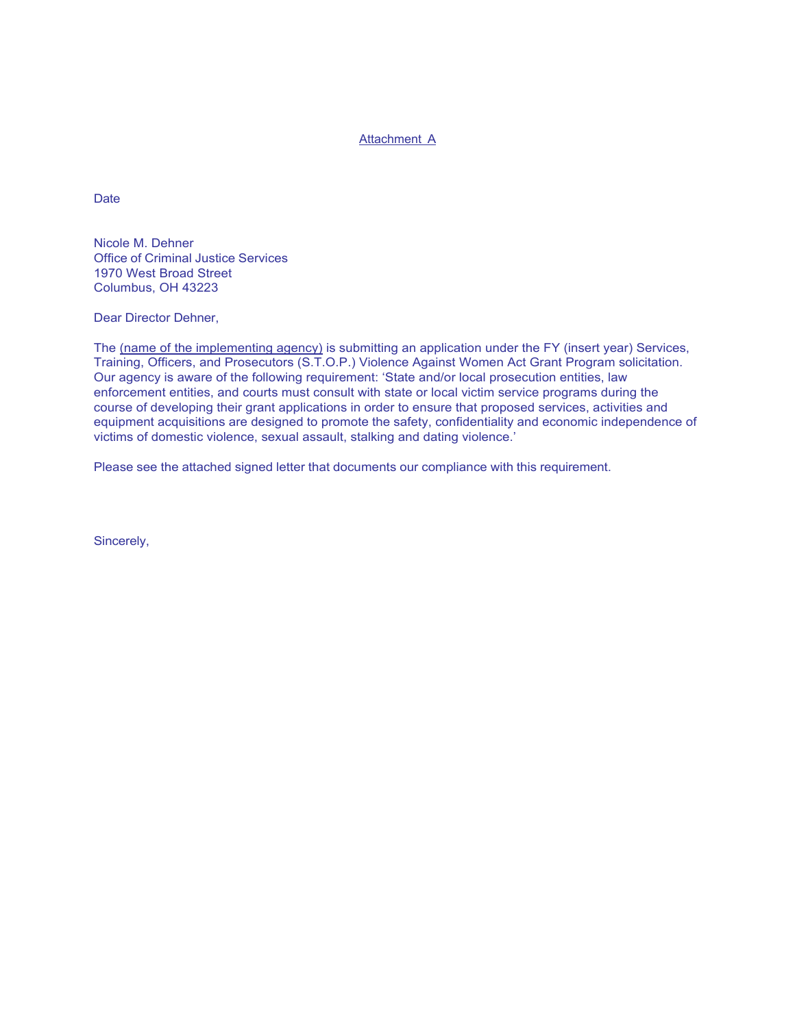## Attachment A

**Date** 

Nicole M. Dehner Office of Criminal Justice Services 1970 West Broad Street Columbus, OH 43223

Dear Director Dehner,

The (name of the implementing agency) is submitting an application under the FY (insert year) Services, Training, Officers, and Prosecutors (S.T.O.P.) Violence Against Women Act Grant Program solicitation. Our agency is aware of the following requirement: 'State and/or local prosecution entities, law enforcement entities, and courts must consult with state or local victim service programs during the course of developing their grant applications in order to ensure that proposed services, activities and equipment acquisitions are designed to promote the safety, confidentiality and economic independence of victims of domestic violence, sexual assault, stalking and dating violence.'

Please see the attached signed letter that documents our compliance with this requirement.

Sincerely,